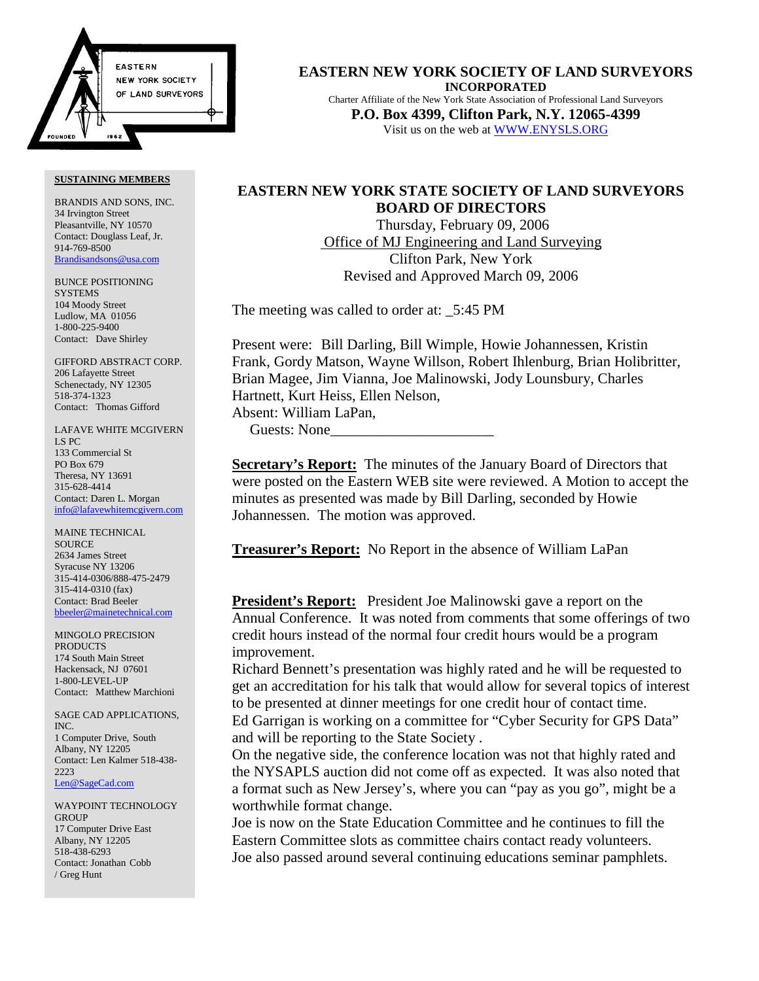

#### **SUSTAINING MEMBERS**

BRANDIS AND SONS, INC. 34 Irvington Street Pleasantville, NY 10570 Contact: Douglass Leaf, Jr. 914-769-8500 Brandisandsons@usa.com

BUNCE POSITIONING **SYSTEMS** 104 Moody Street Ludlow, MA 01056 1-800-225-9400 Contact: Dave Shirley

GIFFORD ABSTRACT CORP. 206 Lafayette Street Schenectady, NY 12305 518-374-1323 Contact: Thomas Gifford

LAFAVE WHITE MCGIVERN LS PC 133 Commercial St PO Box 679 Theresa, NY 13691 315-628-4414 Contact: Daren L. Morgan info@lafavewhitemcgivern.com

MAINE TECHNICAL **SOURCE** 2634 James Street Syracuse NY 13206 315-414-0306/888-475-2479 315-414-0310 (fax) Contact: Brad Beeler bbeeler@mainetechnical.com

MINGOLO PRECISION PRODUCTS 174 South Main Street Hackensack, NJ 07601 1-800-LEVEL-UP Contact: Matthew Marchioni

SAGE CAD APPLICATIONS, INC. 1 Computer Drive, South Albany, NY 12205 Contact: Len Kalmer 518-438- 2223 Len@SageCad.com

WAYPOINT TECHNOLOGY **GROUP** 17 Computer Drive East Albany, NY 12205 518-438-6293 Contact: Jonathan Cobb / Greg Hunt

**EASTERN NEW YORK SOCIETY OF LAND SURVEYORS INCORPORATED** Charter Affiliate of the New York State Association of Professional Land Surveyors **P.O. Box 4399, Clifton Park, N.Y. 12065-4399** Visit us on the web at WWW.ENYSLS.ORG

# **EASTERN NEW YORK STATE SOCIETY OF LAND SURVEYORS BOARD OF DIRECTORS**

 Thursday, February 09, 2006 Office of MJ Engineering and Land Surveying Clifton Park, New York Revised and Approved March 09, 2006

The meeting was called to order at:  $5:45 \text{ PM}$ 

Present were: Bill Darling, Bill Wimple, Howie Johannessen, Kristin Frank, Gordy Matson, Wayne Willson, Robert Ihlenburg, Brian Holibritter, Brian Magee, Jim Vianna, Joe Malinowski, Jody Lounsbury, Charles Hartnett, Kurt Heiss, Ellen Nelson, Absent: William LaPan,

Guests: None\_\_\_\_\_\_\_\_\_\_\_\_\_\_\_\_\_\_\_\_\_\_

**Secretary's Report:** The minutes of the January Board of Directors that were posted on the Eastern WEB site were reviewed. A Motion to accept the minutes as presented was made by Bill Darling, seconded by Howie Johannessen. The motion was approved.

**Treasurer's Report:** No Report in the absence of William LaPan

**President's Report:** President Joe Malinowski gave a report on the Annual Conference. It was noted from comments that some offerings of two credit hours instead of the normal four credit hours would be a program improvement.

Richard Bennett's presentation was highly rated and he will be requested to get an accreditation for his talk that would allow for several topics of interest to be presented at dinner meetings for one credit hour of contact time.

Ed Garrigan is working on a committee for "Cyber Security for GPS Data" and will be reporting to the State Society .

On the negative side, the conference location was not that highly rated and the NYSAPLS auction did not come off as expected. It was also noted that a format such as New Jersey's, where you can "pay as you go", might be a worthwhile format change.

Joe is now on the State Education Committee and he continues to fill the Eastern Committee slots as committee chairs contact ready volunteers. Joe also passed around several continuing educations seminar pamphlets.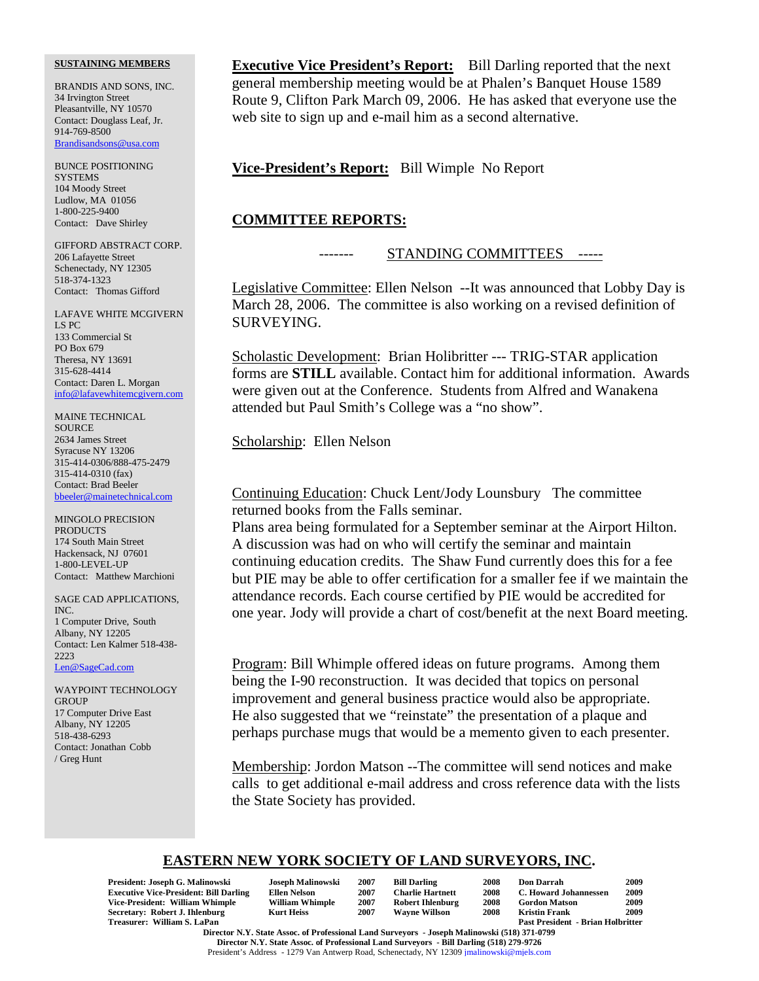#### **SUSTAINING MEMBERS**

BRANDIS AND SONS, INC. 34 Irvington Street Pleasantville, NY 10570 Contact: Douglass Leaf, Jr. 914-769-8500 Brandisandsons@usa.com

BUNCE POSITIONING **SYSTEMS** 104 Moody Street Ludlow, MA 01056 1-800-225-9400 Contact: Dave Shirley

GIFFORD ABSTRACT CORP. 206 Lafayette Street Schenectady, NY 12305 518-374-1323 Contact: Thomas Gifford

LAFAVE WHITE MCGIVERN LS PC 133 Commercial St PO Box 679 Theresa, NY 13691 315-628-4414 Contact: Daren L. Morgan info@lafavewhitemcgivern.com

MAINE TECHNICAL SOURCE 2634 James Street Syracuse NY 13206 315-414-0306/888-475-2479 315-414-0310 (fax) Contact: Brad Beeler bbeeler@mainetechnical.com

MINGOLO PRECISION **PRODUCTS** 174 South Main Street Hackensack, NJ 07601 1-800-LEVEL-UP Contact: Matthew Marchioni

SAGE CAD APPLICATIONS, INC. 1 Computer Drive, South Albany, NY 12205 Contact: Len Kalmer 518-438- 2223 Len@SageCad.com

WAYPOINT TECHNOLOGY **GROUP** 17 Computer Drive East Albany, NY 12205 518-438-6293 Contact: Jonathan Cobb / Greg Hunt

**Executive Vice President's Report:** Bill Darling reported that the next general membership meeting would be at Phalen's Banquet House 1589 Route 9, Clifton Park March 09, 2006. He has asked that everyone use the web site to sign up and e-mail him as a second alternative.

**Vice-President's Report:** Bill Wimple No Report

### **COMMITTEE REPORTS:**

## STANDING COMMITTEES -----

Legislative Committee: Ellen Nelson --It was announced that Lobby Day is March 28, 2006. The committee is also working on a revised definition of SURVEYING.

Scholastic Development: Brian Holibritter --- TRIG-STAR application forms are **STILL** available. Contact him for additional information. Awards were given out at the Conference. Students from Alfred and Wanakena attended but Paul Smith's College was a "no show".

Scholarship: Ellen Nelson

Continuing Education: Chuck Lent/Jody Lounsbury The committee returned books from the Falls seminar.

Plans area being formulated for a September seminar at the Airport Hilton. A discussion was had on who will certify the seminar and maintain continuing education credits. The Shaw Fund currently does this for a fee but PIE may be able to offer certification for a smaller fee if we maintain the attendance records. Each course certified by PIE would be accredited for one year. Jody will provide a chart of cost/benefit at the next Board meeting.

Program: Bill Whimple offered ideas on future programs. Among them being the I-90 reconstruction. It was decided that topics on personal improvement and general business practice would also be appropriate. He also suggested that we "reinstate" the presentation of a plaque and perhaps purchase mugs that would be a memento given to each presenter.

Membership: Jordon Matson --The committee will send notices and make calls to get additional e-mail address and cross reference data with the lists the State Society has provided.

## **EASTERN NEW YORK SOCIETY OF LAND SURVEYORS, INC.**

| President: Joseph G. Malinowski               | Joseph Malinowski      | 2007 | <b>Bill Darling</b>     | 2008 | Don Darrah                               | 2009 |
|-----------------------------------------------|------------------------|------|-------------------------|------|------------------------------------------|------|
| <b>Executive Vice-President: Bill Darling</b> | Ellen Nelson           | 2007 | <b>Charlie Hartnett</b> | 2008 | <b>C. Howard Johannessen</b>             | 2009 |
| Vice-President: William Whimple               | <b>William Whimple</b> | 2007 | <b>Robert Ihlenburg</b> | 2008 | <b>Gordon Matson</b>                     | 2009 |
| Secretary: Robert J. Ihlenburg                | Kurt Heiss             | 2007 | <b>Wavne Willson</b>    | 2008 | Kristin Frank                            | 2009 |
| Treasurer: William S. LaPan                   |                        |      |                         |      | <b>Past President - Brian Holbritter</b> |      |

**Director N.Y. State Assoc. of Professional Land Surveyors - Joseph Malinowski (518) 371-0799 Director N.Y. State Assoc. of Professional Land Surveyors - Bill Darling (518) 279-9726** President's Address - 1279 Van Antwerp Road, Schenectady, NY 12309 jmalinowski@mjels.com